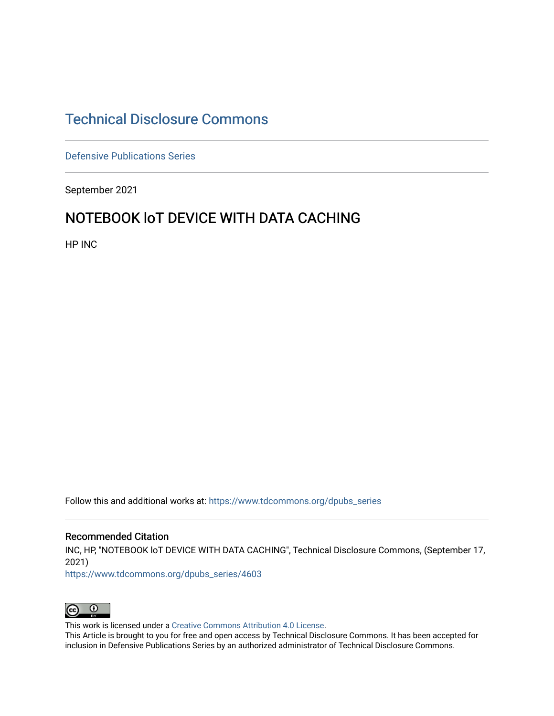# [Technical Disclosure Commons](https://www.tdcommons.org/)

[Defensive Publications Series](https://www.tdcommons.org/dpubs_series)

September 2021

# NOTEBOOK I T DEVICE WITH DATA CACHING

HP INC

Follow this and additional works at: [https://www.tdcommons.org/dpubs\\_series](https://www.tdcommons.org/dpubs_series?utm_source=www.tdcommons.org%2Fdpubs_series%2F4603&utm_medium=PDF&utm_campaign=PDFCoverPages) 

#### Recommended Citation

INC, HP, "NOTEBOOK loT DEVICE WITH DATA CACHING", Technical Disclosure Commons, (September 17, 2021)

[https://www.tdcommons.org/dpubs\\_series/4603](https://www.tdcommons.org/dpubs_series/4603?utm_source=www.tdcommons.org%2Fdpubs_series%2F4603&utm_medium=PDF&utm_campaign=PDFCoverPages)



This work is licensed under a [Creative Commons Attribution 4.0 License](http://creativecommons.org/licenses/by/4.0/deed.en_US).

This Article is brought to you for free and open access by Technical Disclosure Commons. It has been accepted for inclusion in Defensive Publications Series by an authorized administrator of Technical Disclosure Commons.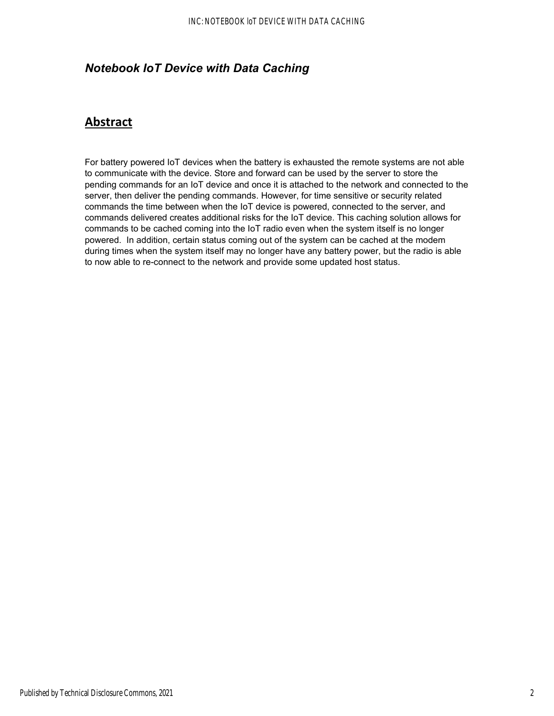### *Notebook IoT Device with Data Caching*

## **Abstract**

For battery powered IoT devices when the battery is exhausted the remote systems are not able to communicate with the device. Store and forward can be used by the server to store the pending commands for an IoT device and once it is attached to the network and connected to the server, then deliver the pending commands. However, for time sensitive or security related commands the time between when the IoT device is powered, connected to the server, and commands delivered creates additional risks for the IoT device. This caching solution allows for commands to be cached coming into the IoT radio even when the system itself is no longer powered. In addition, certain status coming out of the system can be cached at the modem during times when the system itself may no longer have any battery power, but the radio is able to now able to re-connect to the network and provide some updated host status.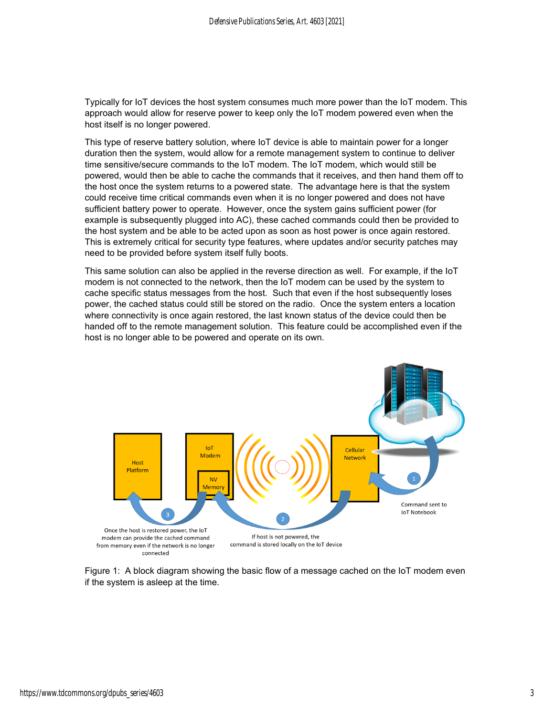Typically for IoT devices the host system consumes much more power than the IoT modem. This approach would allow for reserve power to keep only the IoT modem powered even when the host itself is no longer powered.

This type of reserve battery solution, where IoT device is able to maintain power for a longer duration then the system, would allow for a remote management system to continue to deliver time sensitive/secure commands to the IoT modem. The IoT modem, which would still be powered, would then be able to cache the commands that it receives, and then hand them off to the host once the system returns to a powered state. The advantage here is that the system could receive time critical commands even when it is no longer powered and does not have sufficient battery power to operate. However, once the system gains sufficient power (for example is subsequently plugged into AC), these cached commands could then be provided to the host system and be able to be acted upon as soon as host power is once again restored. This is extremely critical for security type features, where updates and/or security patches may need to be provided before system itself fully boots.

This same solution can also be applied in the reverse direction as well. For example, if the IoT modem is not connected to the network, then the IoT modem can be used by the system to cache specific status messages from the host. Such that even if the host subsequently loses power, the cached status could still be stored on the radio. Once the system enters a location where connectivity is once again restored, the last known status of the device could then be handed off to the remote management solution. This feature could be accomplished even if the host is no longer able to be powered and operate on its own.



Figure 1: A block diagram showing the basic flow of a message cached on the IoT modem even if the system is asleep at the time.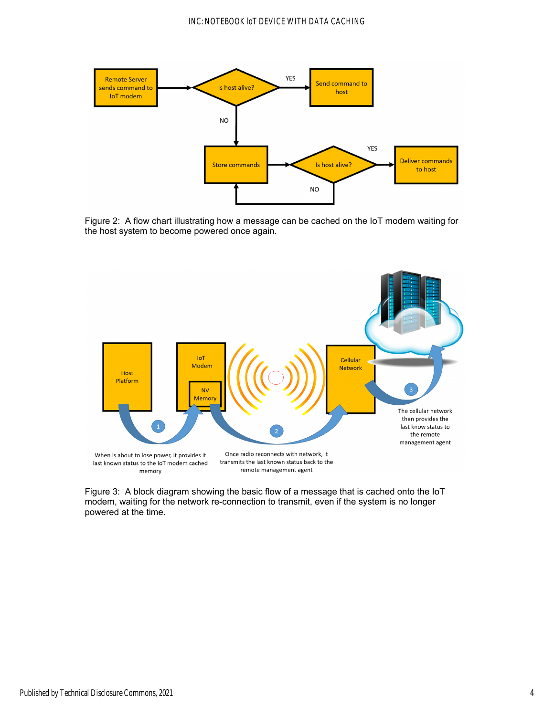

Figure 2: A flow chart illustrating how a message can be cached on the IoT modem waiting for the host system to become powered once again.



Figure 3: A block diagram showing the basic flow of a message that is cached onto the IoT modem, waiting for the network re-connection to transmit, even if the system is no longer powered at the time.